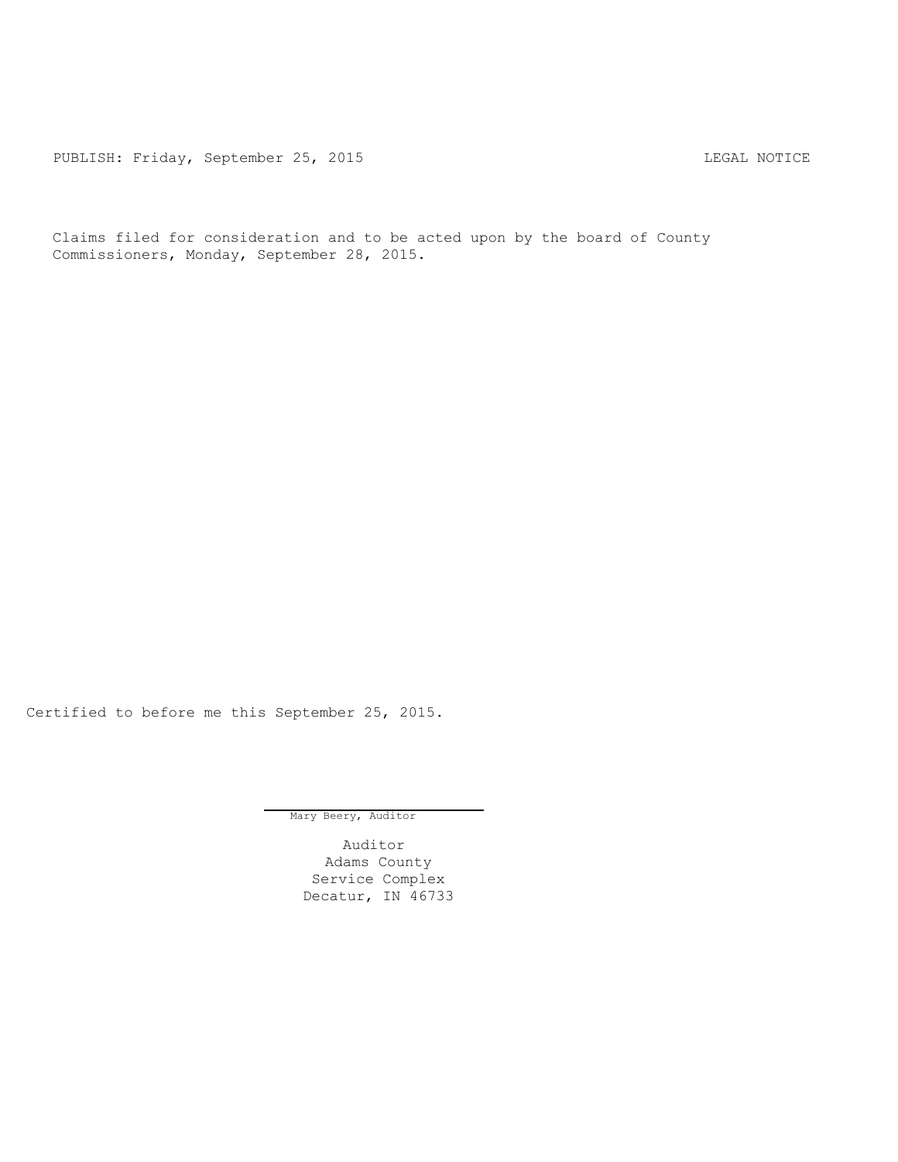PUBLISH: Friday, September 25, 2015 LEGAL NOTICE

Claims filed for consideration and to be acted upon by the board of County Commissioners, Monday, September 28, 2015.

Certified to before me this September 25, 2015.

Mary Beery, Auditor

Auditor Adams County Service Complex Decatur, IN 46733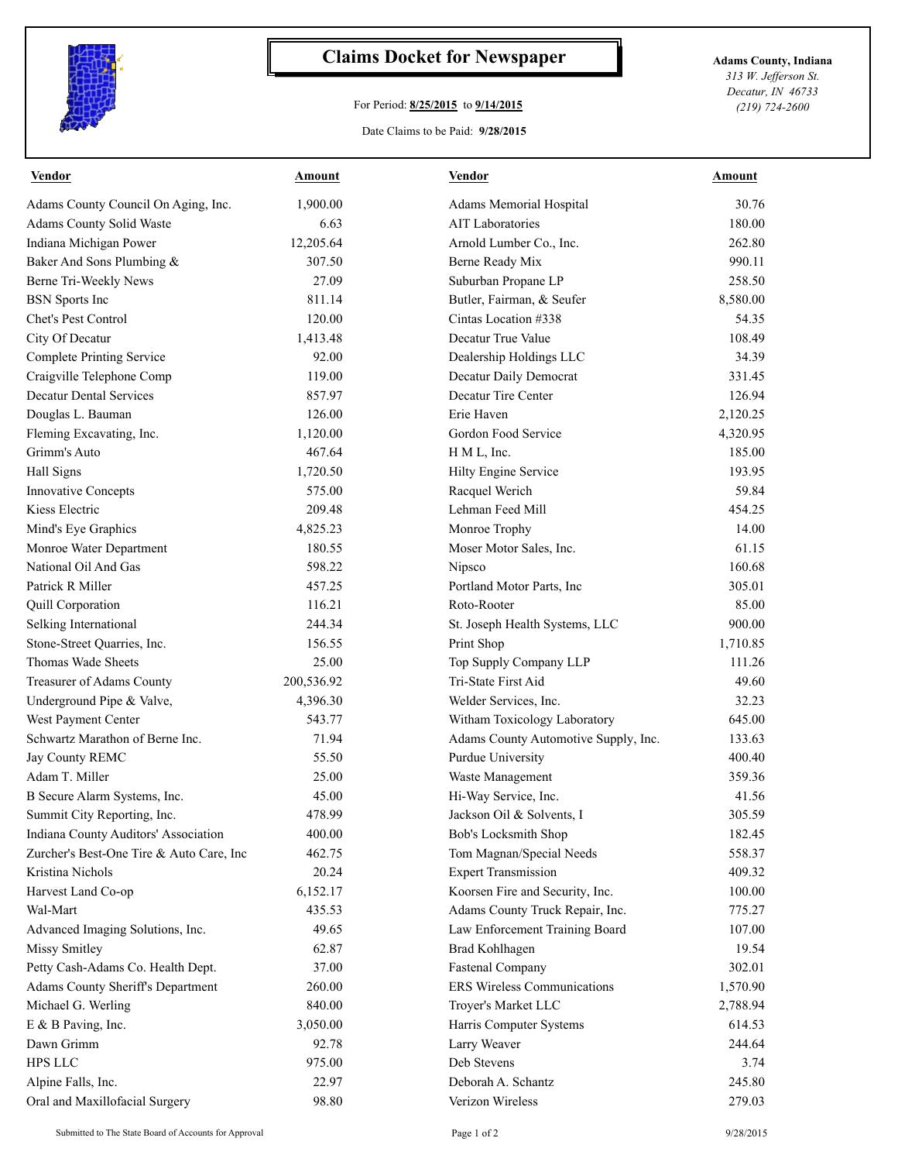

## **Claims Docket for Newspaper Adams County, Indiana**

## For Period: **8/25/2015** to **9/14/2015**

Date Claims to be Paid: **9/28/2015**

*313 W. Jefferson St. Decatur, IN 46733 (219) 724-2600*

| 30.76<br>1,900.00<br>Adams Memorial Hospital<br><b>AIT Laboratories</b><br>180.00<br>6.63<br>12,205.64<br>262.80<br>Arnold Lumber Co., Inc.<br>307.50<br>990.11<br>Berne Ready Mix<br>27.09<br>Suburban Propane LP<br>258.50<br>Butler, Fairman, & Seufer<br>8,580.00<br>811.14<br>54.35<br>120.00<br>Cintas Location #338<br>1,413.48<br>Decatur True Value<br>108.49<br>92.00<br>34.39<br>Dealership Holdings LLC<br>119.00<br>Decatur Daily Democrat<br>331.45<br>Decatur Tire Center<br>857.97<br>126.94<br>126.00<br>Erie Haven<br>2,120.25<br>1,120.00<br>Gordon Food Service<br>4,320.95<br>467.64<br>185.00<br>H M L, Inc.<br>1,720.50<br>Hilty Engine Service<br>193.95<br>575.00<br>59.84<br>Racquel Werich<br>209.48<br>Lehman Feed Mill<br>454.25<br>14.00<br>4,825.23<br>Monroe Trophy<br>180.55<br>61.15<br>Moser Motor Sales, Inc.<br>598.22<br>160.68<br>Nipsco<br>457.25<br>305.01<br>Portland Motor Parts, Inc<br>116.21<br>Roto-Rooter<br>85.00<br>244.34<br>900.00<br>St. Joseph Health Systems, LLC<br>1,710.85<br>156.55<br>Print Shop<br>25.00<br>111.26<br>Top Supply Company LLP<br>200,536.92<br>Tri-State First Aid<br>49.60<br>4,396.30<br>Welder Services, Inc.<br>32.23<br>543.77<br>645.00<br>Witham Toxicology Laboratory<br>71.94<br>Adams County Automotive Supply, Inc.<br>133.63<br>55.50<br>Purdue University<br>400.40<br>25.00<br>359.36<br>Waste Management<br>Hi-Way Service, Inc.<br>41.56<br>45.00<br>478.99<br>Jackson Oil & Solvents, I<br>305.59<br>400.00<br>Bob's Locksmith Shop<br>182.45<br>Tom Magnan/Special Needs<br>462.75<br>558.37<br>20.24<br><b>Expert Transmission</b><br>409.32<br>Koorsen Fire and Security, Inc.<br>6,152.17<br>100.00<br>435.53<br>Adams County Truck Repair, Inc.<br>775.27<br>49.65<br>Law Enforcement Training Board<br>107.00<br>62.87<br><b>Brad Kohlhagen</b><br>19.54<br><b>Fastenal Company</b><br>37.00<br>302.01<br><b>ERS Wireless Communications</b><br>260.00<br>1,570.90<br>840.00<br>Troyer's Market LLC<br>2,788.94<br>3,050.00<br>Harris Computer Systems<br>614.53<br>92.78<br>Larry Weaver<br>244.64<br>Deb Stevens<br>975.00<br>3.74<br>22.97<br>Deborah A. Schantz<br>245.80<br>98.80<br>Verizon Wireless<br>279.03 | Vendor                                   | Amount | <b>Vendor</b> | Amount |
|-------------------------------------------------------------------------------------------------------------------------------------------------------------------------------------------------------------------------------------------------------------------------------------------------------------------------------------------------------------------------------------------------------------------------------------------------------------------------------------------------------------------------------------------------------------------------------------------------------------------------------------------------------------------------------------------------------------------------------------------------------------------------------------------------------------------------------------------------------------------------------------------------------------------------------------------------------------------------------------------------------------------------------------------------------------------------------------------------------------------------------------------------------------------------------------------------------------------------------------------------------------------------------------------------------------------------------------------------------------------------------------------------------------------------------------------------------------------------------------------------------------------------------------------------------------------------------------------------------------------------------------------------------------------------------------------------------------------------------------------------------------------------------------------------------------------------------------------------------------------------------------------------------------------------------------------------------------------------------------------------------------------------------------------------------------------------------------------------------------------------------------------------------------------------------------------------------------------------|------------------------------------------|--------|---------------|--------|
|                                                                                                                                                                                                                                                                                                                                                                                                                                                                                                                                                                                                                                                                                                                                                                                                                                                                                                                                                                                                                                                                                                                                                                                                                                                                                                                                                                                                                                                                                                                                                                                                                                                                                                                                                                                                                                                                                                                                                                                                                                                                                                                                                                                                                         | Adams County Council On Aging, Inc.      |        |               |        |
|                                                                                                                                                                                                                                                                                                                                                                                                                                                                                                                                                                                                                                                                                                                                                                                                                                                                                                                                                                                                                                                                                                                                                                                                                                                                                                                                                                                                                                                                                                                                                                                                                                                                                                                                                                                                                                                                                                                                                                                                                                                                                                                                                                                                                         | <b>Adams County Solid Waste</b>          |        |               |        |
|                                                                                                                                                                                                                                                                                                                                                                                                                                                                                                                                                                                                                                                                                                                                                                                                                                                                                                                                                                                                                                                                                                                                                                                                                                                                                                                                                                                                                                                                                                                                                                                                                                                                                                                                                                                                                                                                                                                                                                                                                                                                                                                                                                                                                         | Indiana Michigan Power                   |        |               |        |
|                                                                                                                                                                                                                                                                                                                                                                                                                                                                                                                                                                                                                                                                                                                                                                                                                                                                                                                                                                                                                                                                                                                                                                                                                                                                                                                                                                                                                                                                                                                                                                                                                                                                                                                                                                                                                                                                                                                                                                                                                                                                                                                                                                                                                         | Baker And Sons Plumbing &                |        |               |        |
|                                                                                                                                                                                                                                                                                                                                                                                                                                                                                                                                                                                                                                                                                                                                                                                                                                                                                                                                                                                                                                                                                                                                                                                                                                                                                                                                                                                                                                                                                                                                                                                                                                                                                                                                                                                                                                                                                                                                                                                                                                                                                                                                                                                                                         | Berne Tri-Weekly News                    |        |               |        |
|                                                                                                                                                                                                                                                                                                                                                                                                                                                                                                                                                                                                                                                                                                                                                                                                                                                                                                                                                                                                                                                                                                                                                                                                                                                                                                                                                                                                                                                                                                                                                                                                                                                                                                                                                                                                                                                                                                                                                                                                                                                                                                                                                                                                                         | <b>BSN</b> Sports Inc                    |        |               |        |
|                                                                                                                                                                                                                                                                                                                                                                                                                                                                                                                                                                                                                                                                                                                                                                                                                                                                                                                                                                                                                                                                                                                                                                                                                                                                                                                                                                                                                                                                                                                                                                                                                                                                                                                                                                                                                                                                                                                                                                                                                                                                                                                                                                                                                         | Chet's Pest Control                      |        |               |        |
|                                                                                                                                                                                                                                                                                                                                                                                                                                                                                                                                                                                                                                                                                                                                                                                                                                                                                                                                                                                                                                                                                                                                                                                                                                                                                                                                                                                                                                                                                                                                                                                                                                                                                                                                                                                                                                                                                                                                                                                                                                                                                                                                                                                                                         | City Of Decatur                          |        |               |        |
|                                                                                                                                                                                                                                                                                                                                                                                                                                                                                                                                                                                                                                                                                                                                                                                                                                                                                                                                                                                                                                                                                                                                                                                                                                                                                                                                                                                                                                                                                                                                                                                                                                                                                                                                                                                                                                                                                                                                                                                                                                                                                                                                                                                                                         | <b>Complete Printing Service</b>         |        |               |        |
|                                                                                                                                                                                                                                                                                                                                                                                                                                                                                                                                                                                                                                                                                                                                                                                                                                                                                                                                                                                                                                                                                                                                                                                                                                                                                                                                                                                                                                                                                                                                                                                                                                                                                                                                                                                                                                                                                                                                                                                                                                                                                                                                                                                                                         | Craigville Telephone Comp                |        |               |        |
|                                                                                                                                                                                                                                                                                                                                                                                                                                                                                                                                                                                                                                                                                                                                                                                                                                                                                                                                                                                                                                                                                                                                                                                                                                                                                                                                                                                                                                                                                                                                                                                                                                                                                                                                                                                                                                                                                                                                                                                                                                                                                                                                                                                                                         | <b>Decatur Dental Services</b>           |        |               |        |
|                                                                                                                                                                                                                                                                                                                                                                                                                                                                                                                                                                                                                                                                                                                                                                                                                                                                                                                                                                                                                                                                                                                                                                                                                                                                                                                                                                                                                                                                                                                                                                                                                                                                                                                                                                                                                                                                                                                                                                                                                                                                                                                                                                                                                         | Douglas L. Bauman                        |        |               |        |
|                                                                                                                                                                                                                                                                                                                                                                                                                                                                                                                                                                                                                                                                                                                                                                                                                                                                                                                                                                                                                                                                                                                                                                                                                                                                                                                                                                                                                                                                                                                                                                                                                                                                                                                                                                                                                                                                                                                                                                                                                                                                                                                                                                                                                         | Fleming Excavating, Inc.                 |        |               |        |
|                                                                                                                                                                                                                                                                                                                                                                                                                                                                                                                                                                                                                                                                                                                                                                                                                                                                                                                                                                                                                                                                                                                                                                                                                                                                                                                                                                                                                                                                                                                                                                                                                                                                                                                                                                                                                                                                                                                                                                                                                                                                                                                                                                                                                         | Grimm's Auto                             |        |               |        |
|                                                                                                                                                                                                                                                                                                                                                                                                                                                                                                                                                                                                                                                                                                                                                                                                                                                                                                                                                                                                                                                                                                                                                                                                                                                                                                                                                                                                                                                                                                                                                                                                                                                                                                                                                                                                                                                                                                                                                                                                                                                                                                                                                                                                                         | Hall Signs                               |        |               |        |
|                                                                                                                                                                                                                                                                                                                                                                                                                                                                                                                                                                                                                                                                                                                                                                                                                                                                                                                                                                                                                                                                                                                                                                                                                                                                                                                                                                                                                                                                                                                                                                                                                                                                                                                                                                                                                                                                                                                                                                                                                                                                                                                                                                                                                         | <b>Innovative Concepts</b>               |        |               |        |
|                                                                                                                                                                                                                                                                                                                                                                                                                                                                                                                                                                                                                                                                                                                                                                                                                                                                                                                                                                                                                                                                                                                                                                                                                                                                                                                                                                                                                                                                                                                                                                                                                                                                                                                                                                                                                                                                                                                                                                                                                                                                                                                                                                                                                         | <b>Kiess Electric</b>                    |        |               |        |
|                                                                                                                                                                                                                                                                                                                                                                                                                                                                                                                                                                                                                                                                                                                                                                                                                                                                                                                                                                                                                                                                                                                                                                                                                                                                                                                                                                                                                                                                                                                                                                                                                                                                                                                                                                                                                                                                                                                                                                                                                                                                                                                                                                                                                         | Mind's Eye Graphics                      |        |               |        |
|                                                                                                                                                                                                                                                                                                                                                                                                                                                                                                                                                                                                                                                                                                                                                                                                                                                                                                                                                                                                                                                                                                                                                                                                                                                                                                                                                                                                                                                                                                                                                                                                                                                                                                                                                                                                                                                                                                                                                                                                                                                                                                                                                                                                                         | Monroe Water Department                  |        |               |        |
|                                                                                                                                                                                                                                                                                                                                                                                                                                                                                                                                                                                                                                                                                                                                                                                                                                                                                                                                                                                                                                                                                                                                                                                                                                                                                                                                                                                                                                                                                                                                                                                                                                                                                                                                                                                                                                                                                                                                                                                                                                                                                                                                                                                                                         | National Oil And Gas                     |        |               |        |
|                                                                                                                                                                                                                                                                                                                                                                                                                                                                                                                                                                                                                                                                                                                                                                                                                                                                                                                                                                                                                                                                                                                                                                                                                                                                                                                                                                                                                                                                                                                                                                                                                                                                                                                                                                                                                                                                                                                                                                                                                                                                                                                                                                                                                         | Patrick R Miller                         |        |               |        |
|                                                                                                                                                                                                                                                                                                                                                                                                                                                                                                                                                                                                                                                                                                                                                                                                                                                                                                                                                                                                                                                                                                                                                                                                                                                                                                                                                                                                                                                                                                                                                                                                                                                                                                                                                                                                                                                                                                                                                                                                                                                                                                                                                                                                                         | Quill Corporation                        |        |               |        |
|                                                                                                                                                                                                                                                                                                                                                                                                                                                                                                                                                                                                                                                                                                                                                                                                                                                                                                                                                                                                                                                                                                                                                                                                                                                                                                                                                                                                                                                                                                                                                                                                                                                                                                                                                                                                                                                                                                                                                                                                                                                                                                                                                                                                                         | Selking International                    |        |               |        |
|                                                                                                                                                                                                                                                                                                                                                                                                                                                                                                                                                                                                                                                                                                                                                                                                                                                                                                                                                                                                                                                                                                                                                                                                                                                                                                                                                                                                                                                                                                                                                                                                                                                                                                                                                                                                                                                                                                                                                                                                                                                                                                                                                                                                                         | Stone-Street Quarries, Inc.              |        |               |        |
|                                                                                                                                                                                                                                                                                                                                                                                                                                                                                                                                                                                                                                                                                                                                                                                                                                                                                                                                                                                                                                                                                                                                                                                                                                                                                                                                                                                                                                                                                                                                                                                                                                                                                                                                                                                                                                                                                                                                                                                                                                                                                                                                                                                                                         | Thomas Wade Sheets                       |        |               |        |
|                                                                                                                                                                                                                                                                                                                                                                                                                                                                                                                                                                                                                                                                                                                                                                                                                                                                                                                                                                                                                                                                                                                                                                                                                                                                                                                                                                                                                                                                                                                                                                                                                                                                                                                                                                                                                                                                                                                                                                                                                                                                                                                                                                                                                         | Treasurer of Adams County                |        |               |        |
|                                                                                                                                                                                                                                                                                                                                                                                                                                                                                                                                                                                                                                                                                                                                                                                                                                                                                                                                                                                                                                                                                                                                                                                                                                                                                                                                                                                                                                                                                                                                                                                                                                                                                                                                                                                                                                                                                                                                                                                                                                                                                                                                                                                                                         | Underground Pipe & Valve,                |        |               |        |
|                                                                                                                                                                                                                                                                                                                                                                                                                                                                                                                                                                                                                                                                                                                                                                                                                                                                                                                                                                                                                                                                                                                                                                                                                                                                                                                                                                                                                                                                                                                                                                                                                                                                                                                                                                                                                                                                                                                                                                                                                                                                                                                                                                                                                         | West Payment Center                      |        |               |        |
|                                                                                                                                                                                                                                                                                                                                                                                                                                                                                                                                                                                                                                                                                                                                                                                                                                                                                                                                                                                                                                                                                                                                                                                                                                                                                                                                                                                                                                                                                                                                                                                                                                                                                                                                                                                                                                                                                                                                                                                                                                                                                                                                                                                                                         | Schwartz Marathon of Berne Inc.          |        |               |        |
|                                                                                                                                                                                                                                                                                                                                                                                                                                                                                                                                                                                                                                                                                                                                                                                                                                                                                                                                                                                                                                                                                                                                                                                                                                                                                                                                                                                                                                                                                                                                                                                                                                                                                                                                                                                                                                                                                                                                                                                                                                                                                                                                                                                                                         | Jay County REMC                          |        |               |        |
|                                                                                                                                                                                                                                                                                                                                                                                                                                                                                                                                                                                                                                                                                                                                                                                                                                                                                                                                                                                                                                                                                                                                                                                                                                                                                                                                                                                                                                                                                                                                                                                                                                                                                                                                                                                                                                                                                                                                                                                                                                                                                                                                                                                                                         | Adam T. Miller                           |        |               |        |
|                                                                                                                                                                                                                                                                                                                                                                                                                                                                                                                                                                                                                                                                                                                                                                                                                                                                                                                                                                                                                                                                                                                                                                                                                                                                                                                                                                                                                                                                                                                                                                                                                                                                                                                                                                                                                                                                                                                                                                                                                                                                                                                                                                                                                         | B Secure Alarm Systems, Inc.             |        |               |        |
|                                                                                                                                                                                                                                                                                                                                                                                                                                                                                                                                                                                                                                                                                                                                                                                                                                                                                                                                                                                                                                                                                                                                                                                                                                                                                                                                                                                                                                                                                                                                                                                                                                                                                                                                                                                                                                                                                                                                                                                                                                                                                                                                                                                                                         | Summit City Reporting, Inc.              |        |               |        |
|                                                                                                                                                                                                                                                                                                                                                                                                                                                                                                                                                                                                                                                                                                                                                                                                                                                                                                                                                                                                                                                                                                                                                                                                                                                                                                                                                                                                                                                                                                                                                                                                                                                                                                                                                                                                                                                                                                                                                                                                                                                                                                                                                                                                                         | Indiana County Auditors' Association     |        |               |        |
|                                                                                                                                                                                                                                                                                                                                                                                                                                                                                                                                                                                                                                                                                                                                                                                                                                                                                                                                                                                                                                                                                                                                                                                                                                                                                                                                                                                                                                                                                                                                                                                                                                                                                                                                                                                                                                                                                                                                                                                                                                                                                                                                                                                                                         | Zurcher's Best-One Tire & Auto Care, Inc |        |               |        |
|                                                                                                                                                                                                                                                                                                                                                                                                                                                                                                                                                                                                                                                                                                                                                                                                                                                                                                                                                                                                                                                                                                                                                                                                                                                                                                                                                                                                                                                                                                                                                                                                                                                                                                                                                                                                                                                                                                                                                                                                                                                                                                                                                                                                                         | Kristina Nichols                         |        |               |        |
|                                                                                                                                                                                                                                                                                                                                                                                                                                                                                                                                                                                                                                                                                                                                                                                                                                                                                                                                                                                                                                                                                                                                                                                                                                                                                                                                                                                                                                                                                                                                                                                                                                                                                                                                                                                                                                                                                                                                                                                                                                                                                                                                                                                                                         | Harvest Land Co-op                       |        |               |        |
|                                                                                                                                                                                                                                                                                                                                                                                                                                                                                                                                                                                                                                                                                                                                                                                                                                                                                                                                                                                                                                                                                                                                                                                                                                                                                                                                                                                                                                                                                                                                                                                                                                                                                                                                                                                                                                                                                                                                                                                                                                                                                                                                                                                                                         | Wal-Mart                                 |        |               |        |
|                                                                                                                                                                                                                                                                                                                                                                                                                                                                                                                                                                                                                                                                                                                                                                                                                                                                                                                                                                                                                                                                                                                                                                                                                                                                                                                                                                                                                                                                                                                                                                                                                                                                                                                                                                                                                                                                                                                                                                                                                                                                                                                                                                                                                         | Advanced Imaging Solutions, Inc.         |        |               |        |
|                                                                                                                                                                                                                                                                                                                                                                                                                                                                                                                                                                                                                                                                                                                                                                                                                                                                                                                                                                                                                                                                                                                                                                                                                                                                                                                                                                                                                                                                                                                                                                                                                                                                                                                                                                                                                                                                                                                                                                                                                                                                                                                                                                                                                         | <b>Missy Smitley</b>                     |        |               |        |
|                                                                                                                                                                                                                                                                                                                                                                                                                                                                                                                                                                                                                                                                                                                                                                                                                                                                                                                                                                                                                                                                                                                                                                                                                                                                                                                                                                                                                                                                                                                                                                                                                                                                                                                                                                                                                                                                                                                                                                                                                                                                                                                                                                                                                         | Petty Cash-Adams Co. Health Dept.        |        |               |        |
|                                                                                                                                                                                                                                                                                                                                                                                                                                                                                                                                                                                                                                                                                                                                                                                                                                                                                                                                                                                                                                                                                                                                                                                                                                                                                                                                                                                                                                                                                                                                                                                                                                                                                                                                                                                                                                                                                                                                                                                                                                                                                                                                                                                                                         | <b>Adams County Sheriff's Department</b> |        |               |        |
|                                                                                                                                                                                                                                                                                                                                                                                                                                                                                                                                                                                                                                                                                                                                                                                                                                                                                                                                                                                                                                                                                                                                                                                                                                                                                                                                                                                                                                                                                                                                                                                                                                                                                                                                                                                                                                                                                                                                                                                                                                                                                                                                                                                                                         | Michael G. Werling                       |        |               |        |
|                                                                                                                                                                                                                                                                                                                                                                                                                                                                                                                                                                                                                                                                                                                                                                                                                                                                                                                                                                                                                                                                                                                                                                                                                                                                                                                                                                                                                                                                                                                                                                                                                                                                                                                                                                                                                                                                                                                                                                                                                                                                                                                                                                                                                         | E & B Paving, Inc.                       |        |               |        |
|                                                                                                                                                                                                                                                                                                                                                                                                                                                                                                                                                                                                                                                                                                                                                                                                                                                                                                                                                                                                                                                                                                                                                                                                                                                                                                                                                                                                                                                                                                                                                                                                                                                                                                                                                                                                                                                                                                                                                                                                                                                                                                                                                                                                                         | Dawn Grimm                               |        |               |        |
|                                                                                                                                                                                                                                                                                                                                                                                                                                                                                                                                                                                                                                                                                                                                                                                                                                                                                                                                                                                                                                                                                                                                                                                                                                                                                                                                                                                                                                                                                                                                                                                                                                                                                                                                                                                                                                                                                                                                                                                                                                                                                                                                                                                                                         | <b>HPS LLC</b>                           |        |               |        |
|                                                                                                                                                                                                                                                                                                                                                                                                                                                                                                                                                                                                                                                                                                                                                                                                                                                                                                                                                                                                                                                                                                                                                                                                                                                                                                                                                                                                                                                                                                                                                                                                                                                                                                                                                                                                                                                                                                                                                                                                                                                                                                                                                                                                                         | Alpine Falls, Inc.                       |        |               |        |
|                                                                                                                                                                                                                                                                                                                                                                                                                                                                                                                                                                                                                                                                                                                                                                                                                                                                                                                                                                                                                                                                                                                                                                                                                                                                                                                                                                                                                                                                                                                                                                                                                                                                                                                                                                                                                                                                                                                                                                                                                                                                                                                                                                                                                         | Oral and Maxillofacial Surgery           |        |               |        |